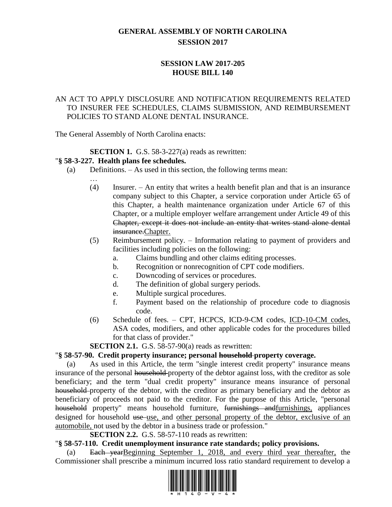# **GENERAL ASSEMBLY OF NORTH CAROLINA SESSION 2017**

# **SESSION LAW 2017-205 HOUSE BILL 140**

# AN ACT TO APPLY DISCLOSURE AND NOTIFICATION REQUIREMENTS RELATED TO INSURER FEE SCHEDULES, CLAIMS SUBMISSION, AND REIMBURSEMENT POLICIES TO STAND ALONE DENTAL INSURANCE.

The General Assembly of North Carolina enacts:

# **SECTION 1.** G.S. 58-3-227(a) reads as rewritten:

# "**§ 58-3-227. Health plans fee schedules.**

- (a) Definitions. As used in this section, the following terms mean:
	- … (4) Insurer. – An entity that writes a health benefit plan and that is an insurance company subject to this Chapter, a service corporation under Article 65 of this Chapter, a health maintenance organization under Article 67 of this Chapter, or a multiple employer welfare arrangement under Article 49 of this Chapter, except it does not include an entity that writes stand alone dental insurance.Chapter.
	- (5) Reimbursement policy. Information relating to payment of providers and facilities including policies on the following:
		- a. Claims bundling and other claims editing processes.
		- b. Recognition or nonrecognition of CPT code modifiers.
		- c. Downcoding of services or procedures.
		- d. The definition of global surgery periods.
		- e. Multiple surgical procedures.
		- f. Payment based on the relationship of procedure code to diagnosis code.
	- (6) Schedule of fees. CPT, HCPCS, ICD-9-CM codes, ICD-10-CM codes, ASA codes, modifiers, and other applicable codes for the procedures billed for that class of provider."

**SECTION 2.1.** G.S. 58-57-90(a) reads as rewritten:

# "**§ 58-57-90. Credit property insurance; personal household property coverage.**

(a) As used in this Article, the term "single interest credit property" insurance means insurance of the personal household-property of the debtor against loss, with the creditor as sole beneficiary; and the term "dual credit property" insurance means insurance of personal household property of the debtor, with the creditor as primary beneficiary and the debtor as beneficiary of proceeds not paid to the creditor. For the purpose of this Article, "personal household property" means household furniture, furnishings andfurnishings, appliances designed for household use use, and other personal property of the debtor, exclusive of an automobile, not used by the debtor in a business trade or profession."

**SECTION 2.2.** G.S. 58-57-110 reads as rewritten:

#### "**§ 58-57-110. Credit unemployment insurance rate standards; policy provisions.**

(a) Each yearBeginning September 1, 2018, and every third year thereafter, the Commissioner shall prescribe a minimum incurred loss ratio standard requirement to develop a